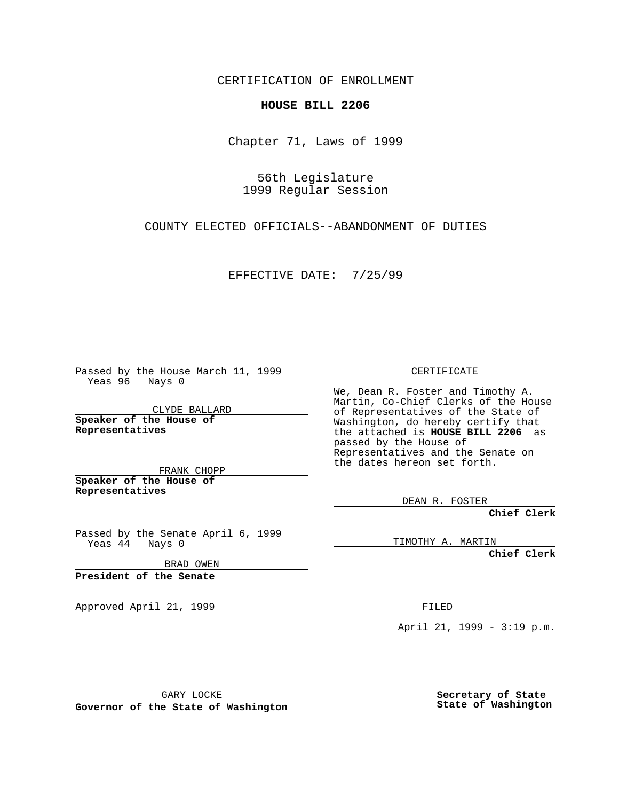CERTIFICATION OF ENROLLMENT

## **HOUSE BILL 2206**

Chapter 71, Laws of 1999

56th Legislature 1999 Regular Session

COUNTY ELECTED OFFICIALS--ABANDONMENT OF DUTIES

EFFECTIVE DATE: 7/25/99

Passed by the House March 11, 1999 Yeas 96 Nays 0

CLYDE BALLARD **Speaker of the House of Representatives**

FRANK CHOPP **Speaker of the House of Representatives**

Passed by the Senate April 6, 1999 Yeas 44 Nays 0

BRAD OWEN

**President of the Senate**

Approved April 21, 1999 FILED

CERTIFICATE

We, Dean R. Foster and Timothy A. Martin, Co-Chief Clerks of the House of Representatives of the State of Washington, do hereby certify that the attached is **HOUSE BILL 2206** as passed by the House of Representatives and the Senate on the dates hereon set forth.

DEAN R. FOSTER

**Chief Clerk**

TIMOTHY A. MARTIN

**Chief Clerk**

April 21, 1999 - 3:19 p.m.

GARY LOCKE

**Governor of the State of Washington**

**Secretary of State State of Washington**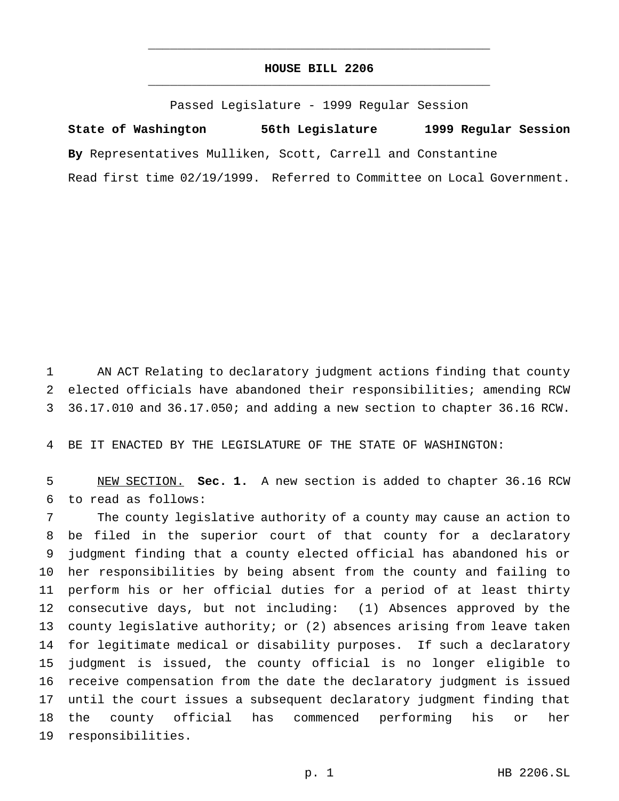## **HOUSE BILL 2206** \_\_\_\_\_\_\_\_\_\_\_\_\_\_\_\_\_\_\_\_\_\_\_\_\_\_\_\_\_\_\_\_\_\_\_\_\_\_\_\_\_\_\_\_\_\_\_

\_\_\_\_\_\_\_\_\_\_\_\_\_\_\_\_\_\_\_\_\_\_\_\_\_\_\_\_\_\_\_\_\_\_\_\_\_\_\_\_\_\_\_\_\_\_\_

Passed Legislature - 1999 Regular Session

**State of Washington 56th Legislature 1999 Regular Session By** Representatives Mulliken, Scott, Carrell and Constantine Read first time 02/19/1999. Referred to Committee on Local Government.

 AN ACT Relating to declaratory judgment actions finding that county elected officials have abandoned their responsibilities; amending RCW 36.17.010 and 36.17.050; and adding a new section to chapter 36.16 RCW.

BE IT ENACTED BY THE LEGISLATURE OF THE STATE OF WASHINGTON:

 NEW SECTION. **Sec. 1.** A new section is added to chapter 36.16 RCW to read as follows:

 The county legislative authority of a county may cause an action to be filed in the superior court of that county for a declaratory judgment finding that a county elected official has abandoned his or her responsibilities by being absent from the county and failing to perform his or her official duties for a period of at least thirty consecutive days, but not including: (1) Absences approved by the county legislative authority; or (2) absences arising from leave taken for legitimate medical or disability purposes. If such a declaratory judgment is issued, the county official is no longer eligible to receive compensation from the date the declaratory judgment is issued until the court issues a subsequent declaratory judgment finding that the county official has commenced performing his or her responsibilities.